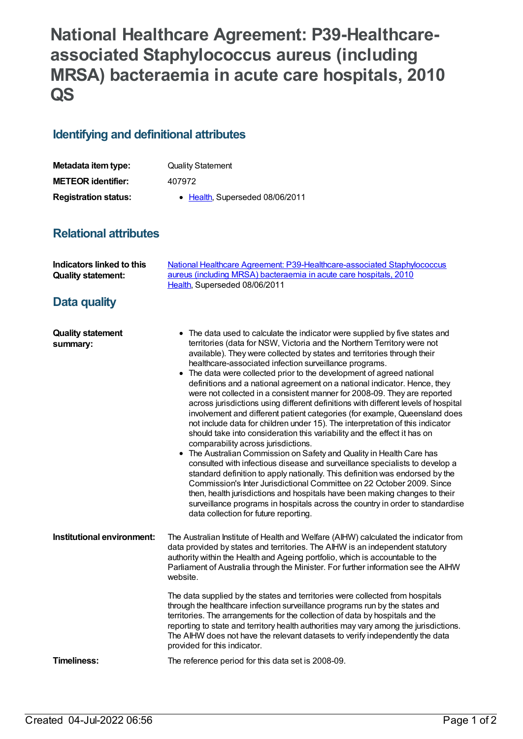# **National Healthcare Agreement: P39-Healthcareassociated Staphylococcus aureus (including MRSA) bacteraemia in acute care hospitals, 2010 QS**

## **Identifying and definitional attributes**

| Metadata item type:         | <b>Quality Statement</b>        |
|-----------------------------|---------------------------------|
| <b>METEOR identifier:</b>   | 407972                          |
| <b>Registration status:</b> | • Health, Superseded 08/06/2011 |

### **Relational attributes**

| <b>Indicators linked to this</b><br><b>Quality statement:</b> | National Healthcare Agreement: P39-Healthcare-associated Staphylococcus<br>aureus (including MRSA) bacteraemia in acute care hospitals, 2010<br>Health, Superseded 08/06/2011                                                                                                                                                                                                                                                                                                                                                                                                                                                                                                                                                                                                                                                                                                                                                                                                                                                                                                                                                                                                                                                                                                                                                                                                                                                 |
|---------------------------------------------------------------|-------------------------------------------------------------------------------------------------------------------------------------------------------------------------------------------------------------------------------------------------------------------------------------------------------------------------------------------------------------------------------------------------------------------------------------------------------------------------------------------------------------------------------------------------------------------------------------------------------------------------------------------------------------------------------------------------------------------------------------------------------------------------------------------------------------------------------------------------------------------------------------------------------------------------------------------------------------------------------------------------------------------------------------------------------------------------------------------------------------------------------------------------------------------------------------------------------------------------------------------------------------------------------------------------------------------------------------------------------------------------------------------------------------------------------|
| Data quality                                                  |                                                                                                                                                                                                                                                                                                                                                                                                                                                                                                                                                                                                                                                                                                                                                                                                                                                                                                                                                                                                                                                                                                                                                                                                                                                                                                                                                                                                                               |
| <b>Quality statement</b><br>summary:                          | • The data used to calculate the indicator were supplied by five states and<br>territories (data for NSW, Victoria and the Northern Territory were not<br>available). They were collected by states and territories through their<br>healthcare-associated infection surveillance programs.<br>• The data were collected prior to the development of agreed national<br>definitions and a national agreement on a national indicator. Hence, they<br>were not collected in a consistent manner for 2008-09. They are reported<br>across jurisdictions using different definitions with different levels of hospital<br>involvement and different patient categories (for example, Queensland does<br>not include data for children under 15). The interpretation of this indicator<br>should take into consideration this variability and the effect it has on<br>comparability across jurisdictions.<br>• The Australian Commission on Safety and Quality in Health Care has<br>consulted with infectious disease and surveillance specialists to develop a<br>standard definition to apply nationally. This definition was endorsed by the<br>Commission's Inter Jurisdictional Committee on 22 October 2009. Since<br>then, health jurisdictions and hospitals have been making changes to their<br>surveillance programs in hospitals across the country in order to standardise<br>data collection for future reporting. |
| Institutional environment:                                    | The Australian Institute of Health and Welfare (AIHW) calculated the indicator from<br>data provided by states and territories. The AIHW is an independent statutory<br>authority within the Health and Ageing portfolio, which is accountable to the<br>Parliament of Australia through the Minister. For further information see the AIHW<br>website.                                                                                                                                                                                                                                                                                                                                                                                                                                                                                                                                                                                                                                                                                                                                                                                                                                                                                                                                                                                                                                                                       |
|                                                               | The data supplied by the states and territories were collected from hospitals<br>through the healthcare infection surveillance programs run by the states and<br>territories. The arrangements for the collection of data by hospitals and the<br>reporting to state and territory health authorities may vary among the jurisdictions.<br>The AIHW does not have the relevant datasets to verify independently the data<br>provided for this indicator.                                                                                                                                                                                                                                                                                                                                                                                                                                                                                                                                                                                                                                                                                                                                                                                                                                                                                                                                                                      |
| Timeliness:                                                   | The reference period for this data set is 2008-09.                                                                                                                                                                                                                                                                                                                                                                                                                                                                                                                                                                                                                                                                                                                                                                                                                                                                                                                                                                                                                                                                                                                                                                                                                                                                                                                                                                            |